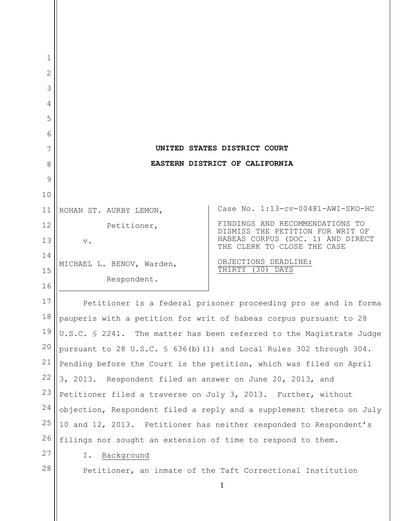| 1  |                                                                      |                                                                                                      |
|----|----------------------------------------------------------------------|------------------------------------------------------------------------------------------------------|
| 2  |                                                                      |                                                                                                      |
| 3  |                                                                      |                                                                                                      |
| 4  |                                                                      |                                                                                                      |
| 5  |                                                                      |                                                                                                      |
| 6  |                                                                      |                                                                                                      |
| 7  | UNITED STATES DISTRICT COURT                                         |                                                                                                      |
| 8  | EASTERN DISTRICT OF CALIFORNIA                                       |                                                                                                      |
| 9  |                                                                      |                                                                                                      |
| 10 |                                                                      |                                                                                                      |
| 11 | ROHAN ST. AURBY LEMON,                                               | Case No. 1:13-cv-00481-AWI-SKO-HC                                                                    |
| 12 | Petitioner,                                                          | FINDINGS AND RECOMMENDATIONS TO                                                                      |
| 13 | $\mathbf v$ .                                                        | DISMISS THE PETITION FOR WRIT OF<br>HABEAS CORPUS (DOC. 1) AND DIRECT<br>THE CLERK TO CLOSE THE CASE |
| 14 | MICHAEL L. BENOV, Warden,                                            | OBJECTIONS DEADLINE:                                                                                 |
| 15 | Respondent.                                                          | THIRTY (30) DAYS                                                                                     |
| 16 |                                                                      |                                                                                                      |
| 17 | Petitioner is a federal prisoner proceeding pro se and in forma      |                                                                                                      |
| 18 | pauperis with a petition for writ of habeas corpus pursuant to 28    |                                                                                                      |
| 19 | U.S.C. § 2241. The matter has been referred to the Magistrate Judge  |                                                                                                      |
| 20 | pursuant to 28 U.S.C. § 636(b)(1) and Local Rules 302 through 304.   |                                                                                                      |
| 21 | Pending before the Court is the petition, which was filed on April   |                                                                                                      |
| 22 | 3, 2013. Respondent filed an answer on June 20, 2013, and            |                                                                                                      |
| 23 | Petitioner filed a traverse on July 3, 2013. Further, without        |                                                                                                      |
| 24 | objection, Respondent filed a reply and a supplement thereto on July |                                                                                                      |
| 25 | 10 and 12, 2013. Petitioner has neither responded to Respondent's    |                                                                                                      |
| 26 | filings nor sought an extension of time to respond to them.          |                                                                                                      |
| 27 | Background<br>Ι.                                                     |                                                                                                      |
| 28 | Petitioner, an inmate of the Taft Correctional Institution           |                                                                                                      |
|    |                                                                      |                                                                                                      |

 $\mathsf{I}$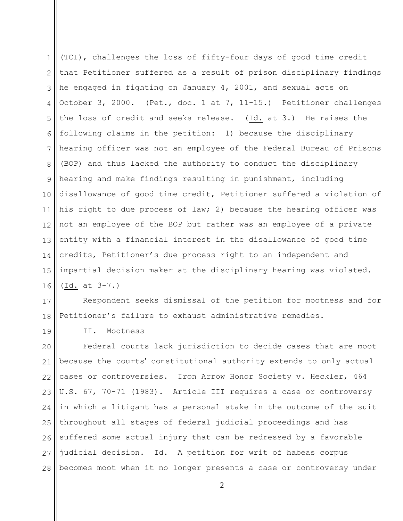1 2 3 4 5 6 7 8 9 10 11 12 13 14 15 16 (TCI), challenges the loss of fifty-four days of good time credit that Petitioner suffered as a result of prison disciplinary findings he engaged in fighting on January 4, 2001, and sexual acts on October 3, 2000. (Pet., doc. 1 at 7, 11-15.) Petitioner challenges the loss of credit and seeks release. (Id. at 3.) He raises the following claims in the petition: 1) because the disciplinary hearing officer was not an employee of the Federal Bureau of Prisons (BOP) and thus lacked the authority to conduct the disciplinary hearing and make findings resulting in punishment, including disallowance of good time credit, Petitioner suffered a violation of his right to due process of law; 2) because the hearing officer was not an employee of the BOP but rather was an employee of a private entity with a financial interest in the disallowance of good time credits, Petitioner's due process right to an independent and impartial decision maker at the disciplinary hearing was violated. (Id. at 3-7.)

17 18 Respondent seeks dismissal of the petition for mootness and for Petitioner's failure to exhaust administrative remedies.

19

II. Mootness

20 21 22 23 24 25 26 27 28 Federal courts lack jurisdiction to decide cases that are moot because the courts' constitutional authority extends to only actual cases or controversies. Iron Arrow Honor Society v. Heckler, 464 U.S. 67, 70-71 (1983). Article III requires a case or controversy in which a litigant has a personal stake in the outcome of the suit throughout all stages of federal judicial proceedings and has suffered some actual injury that can be redressed by a favorable judicial decision. Id. A petition for writ of habeas corpus becomes moot when it no longer presents a case or controversy under

2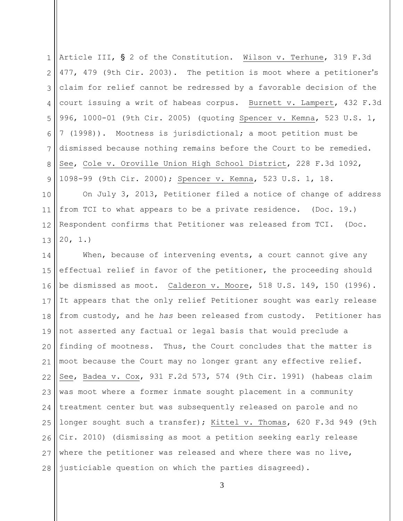1 2 3 4 5 6 7 8 9 Article III, § 2 of the Constitution. Wilson v. Terhune, 319 F.3d 477, 479 (9th Cir. 2003). The petition is moot where a petitioner's claim for relief cannot be redressed by a favorable decision of the court issuing a writ of habeas corpus. Burnett v. Lampert, 432 F.3d 996, 1000-01 (9th Cir. 2005) (quoting Spencer v. Kemna, 523 U.S. 1, 7 (1998)). Mootness is jurisdictional; a moot petition must be dismissed because nothing remains before the Court to be remedied. See, Cole v. Oroville Union High School District, 228 F.3d 1092, 1098-99 (9th Cir. 2000); Spencer v. Kemna, 523 U.S. 1, 18.

10 11 12 13 On July 3, 2013, Petitioner filed a notice of change of address from TCI to what appears to be a private residence. (Doc. 19.) Respondent confirms that Petitioner was released from TCI. (Doc. 20, 1.)

14 15 16 17 18 19 20 21 22 23 24 25 26 27 28 When, because of intervening events, a court cannot give any effectual relief in favor of the petitioner, the proceeding should be dismissed as moot. Calderon v. Moore, 518 U.S. 149, 150 (1996). It appears that the only relief Petitioner sought was early release from custody, and he *has* been released from custody. Petitioner has not asserted any factual or legal basis that would preclude a finding of mootness. Thus, the Court concludes that the matter is moot because the Court may no longer grant any effective relief. See, Badea v. Cox, 931 F.2d 573, 574 (9th Cir. 1991) (habeas claim was moot where a former inmate sought placement in a community treatment center but was subsequently released on parole and no longer sought such a transfer); Kittel v. Thomas, 620 F.3d 949 (9th Cir. 2010) (dismissing as moot a petition seeking early release where the petitioner was released and where there was no live, justiciable question on which the parties disagreed).

3